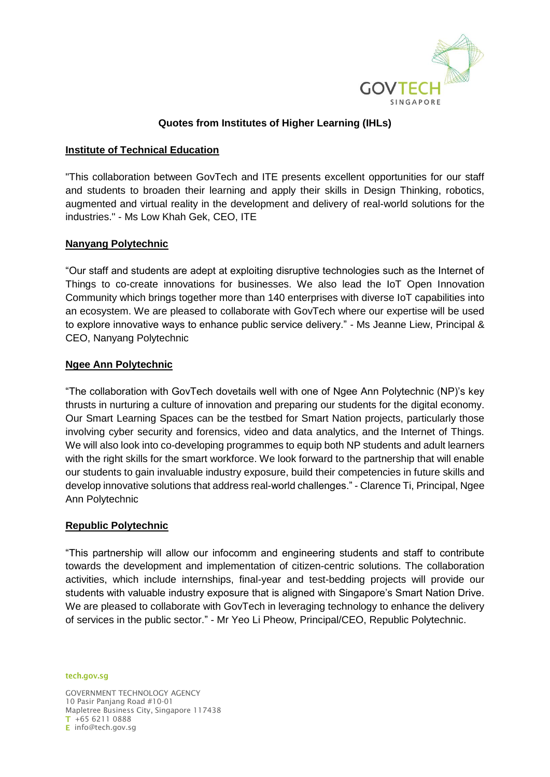

# **Quotes from Institutes of Higher Learning (IHLs)**

## **Institute of Technical Education**

"This collaboration between GovTech and ITE presents excellent opportunities for our staff and students to broaden their learning and apply their skills in Design Thinking, robotics, augmented and virtual reality in the development and delivery of real-world solutions for the industries." - Ms Low Khah Gek, CEO, ITE

## **Nanyang Polytechnic**

"Our staff and students are adept at exploiting disruptive technologies such as the Internet of Things to co-create innovations for businesses. We also lead the IoT Open Innovation Community which brings together more than 140 enterprises with diverse IoT capabilities into an ecosystem. We are pleased to collaborate with GovTech where our expertise will be used to explore innovative ways to enhance public service delivery." - Ms Jeanne Liew, Principal & CEO, Nanyang Polytechnic

## **Ngee Ann Polytechnic**

"The collaboration with GovTech dovetails well with one of Ngee Ann Polytechnic (NP)'s key thrusts in nurturing a culture of innovation and preparing our students for the digital economy. Our Smart Learning Spaces can be the testbed for Smart Nation projects, particularly those involving cyber security and forensics, video and data analytics, and the Internet of Things. We will also look into co-developing programmes to equip both NP students and adult learners with the right skills for the smart workforce. We look forward to the partnership that will enable our students to gain invaluable industry exposure, build their competencies in future skills and develop innovative solutions that address real-world challenges." - Clarence Ti, Principal, Ngee Ann Polytechnic

## **Republic Polytechnic**

"This partnership will allow our infocomm and engineering students and staff to contribute towards the development and implementation of citizen-centric solutions. The collaboration activities, which include internships, final-year and test-bedding projects will provide our students with valuable industry exposure that is aligned with Singapore's Smart Nation Drive. We are pleased to collaborate with GovTech in leveraging technology to enhance the delivery of services in the public sector." - Mr Yeo Li Pheow, Principal/CEO, Republic Polytechnic.

#### tech.gov.sg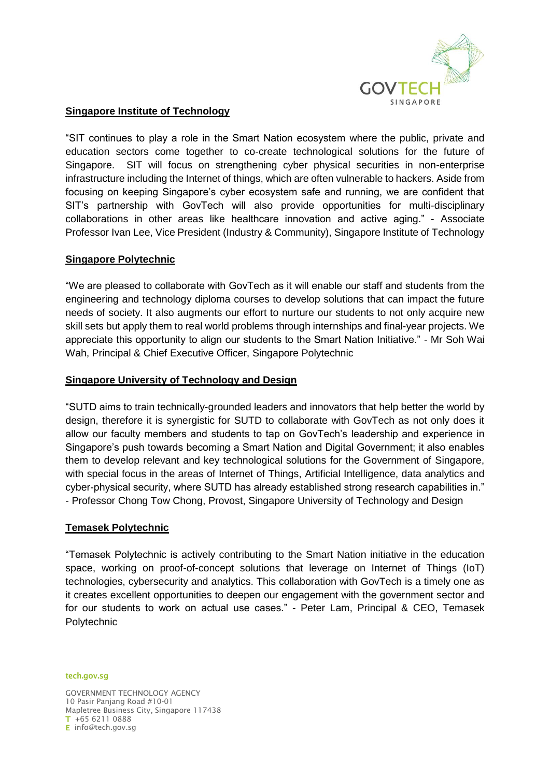

# **Singapore Institute of Technology**

"SIT continues to play a role in the Smart Nation ecosystem where the public, private and education sectors come together to co-create technological solutions for the future of Singapore. SIT will focus on strengthening cyber physical securities in non-enterprise infrastructure including the Internet of things, which are often vulnerable to hackers. Aside from focusing on keeping Singapore's cyber ecosystem safe and running, we are confident that SIT's partnership with GovTech will also provide opportunities for multi-disciplinary collaborations in other areas like healthcare innovation and active aging." - Associate Professor Ivan Lee, Vice President (Industry & Community), Singapore Institute of Technology

## **Singapore Polytechnic**

"We are pleased to collaborate with GovTech as it will enable our staff and students from the engineering and technology diploma courses to develop solutions that can impact the future needs of society. It also augments our effort to nurture our students to not only acquire new skill sets but apply them to real world problems through internships and final-year projects. We appreciate this opportunity to align our students to the Smart Nation Initiative." - Mr Soh Wai Wah, Principal & Chief Executive Officer, Singapore Polytechnic

## **Singapore University of Technology and Design**

"SUTD aims to train technically-grounded leaders and innovators that help better the world by design, therefore it is synergistic for SUTD to collaborate with GovTech as not only does it allow our faculty members and students to tap on GovTech's leadership and experience in Singapore's push towards becoming a Smart Nation and Digital Government; it also enables them to develop relevant and key technological solutions for the Government of Singapore, with special focus in the areas of Internet of Things, Artificial Intelligence, data analytics and cyber-physical security, where SUTD has already established strong research capabilities in." - Professor Chong Tow Chong, Provost, Singapore University of Technology and Design

#### **Temasek Polytechnic**

"Temasek Polytechnic is actively contributing to the Smart Nation initiative in the education space, working on proof-of-concept solutions that leverage on Internet of Things (IoT) technologies, cybersecurity and analytics. This collaboration with GovTech is a timely one as it creates excellent opportunities to deepen our engagement with the government sector and for our students to work on actual use cases." - Peter Lam, Principal & CEO, Temasek **Polytechnic** 

#### tech.gov.sg

GOVERNMENT TECHNOLOGY AGENCY 10 Pasir Panjang Road #10-01 Mapletree Business City, Singapore 117438 +65 6211 0888 E info@tech.gov.sg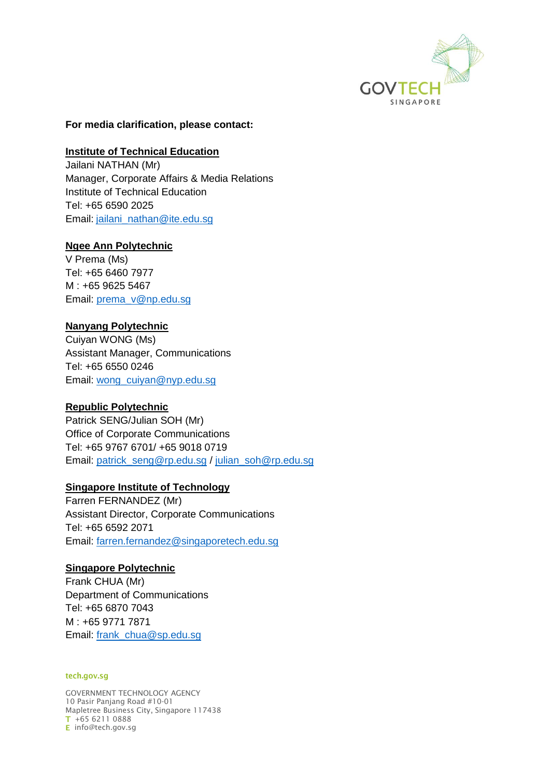

#### **For media clarification, please contact:**

#### **Institute of Technical Education**

Jailani NATHAN (Mr) Manager, Corporate Affairs & Media Relations Institute of Technical Education Tel: +65 6590 2025 Email: [jailani\\_nathan@ite.edu.sg](mailto:jailani_nathan@ite.edu.sg)

#### **Ngee Ann Polytechnic**

V Prema (Ms) Tel: +65 6460 7977 M : +65 9625 5467 Email: [prema\\_v@np.edu.sg](mailto:prema_v@np.edu.sg)

## **Nanyang Polytechnic**

Cuiyan WONG (Ms) Assistant Manager, Communications Tel: +65 6550 0246 Email: [wong\\_cuiyan@nyp.edu.sg](mailto:wong_cuiyan@nyp.edu.sg)

#### **Republic Polytechnic**

Patrick SENG/Julian SOH (Mr) Office of Corporate Communications Tel: +65 9767 6701/ +65 9018 0719 Email: [patrick\\_seng@rp.edu.sg](mailto:patrick_seng@rp.edu.sg) / [julian\\_soh@rp.edu.sg](mailto:julian_soh@rp.edu.sg)

## **Singapore Institute of Technology**

Farren FERNANDEZ (Mr) Assistant Director, Corporate Communications Tel: +65 6592 2071 Email: [farren.fernandez@singaporetech.edu.sg](mailto:farren.fernandez@singaporetech.edu.sg)

#### **Singapore Polytechnic**

Frank CHUA (Mr) Department of Communications Tel: +65 6870 7043 M : +65 9771 7871 Email: [frank\\_chua@sp.edu.sg](mailto:frank_chua@sp.edu.sg)

#### tech.gov.sg

GOVERNMENT TECHNOLOGY AGENCY 10 Pasir Panjang Road #10-01 Mapletree Business City, Singapore 117438 +65 6211 0888 E info@tech.gov.sg